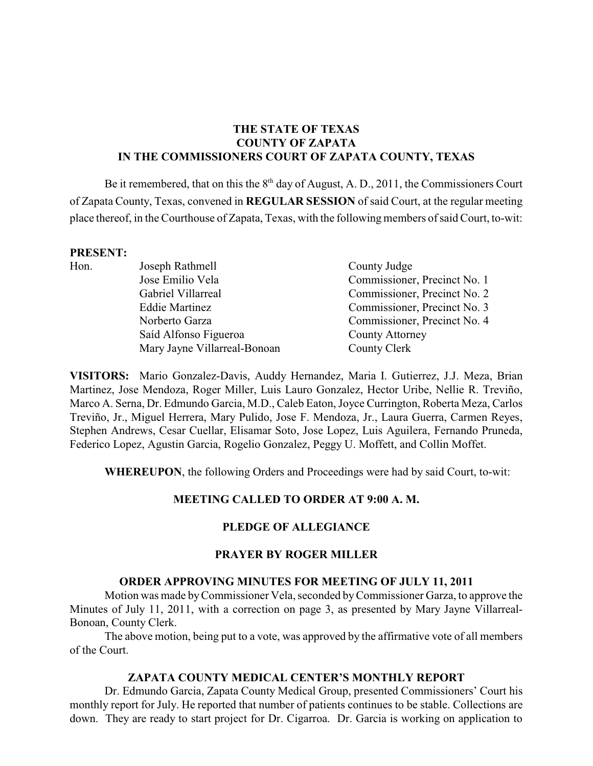# **THE STATE OF TEXAS COUNTY OF ZAPATA IN THE COMMISSIONERS COURT OF ZAPATA COUNTY, TEXAS**

Be it remembered, that on this the  $8<sup>th</sup>$  day of August, A. D., 2011, the Commissioners Court of Zapata County, Texas, convened in **REGULAR SESSION** of said Court, at the regular meeting place thereof, in the Courthouse of Zapata, Texas, with the following members of said Court, to-wit:

#### **PRESENT:**

| 111101111 |                              |                              |
|-----------|------------------------------|------------------------------|
| Hon.      | Joseph Rathmell              | County Judge                 |
|           | Jose Emilio Vela             | Commissioner, Precinct No. 1 |
|           | Gabriel Villarreal           | Commissioner, Precinct No. 2 |
|           | <b>Eddie Martinez</b>        | Commissioner, Precinct No. 3 |
|           | Norberto Garza               | Commissioner, Precinct No. 4 |
|           | Saíd Alfonso Figueroa        | County Attorney              |
|           | Mary Jayne Villarreal-Bonoan | County Clerk                 |
|           |                              |                              |

**VISITORS:** Mario Gonzalez-Davis, Auddy Hernandez, Maria I. Gutierrez, J.J. Meza, Brian Martinez, Jose Mendoza, Roger Miller, Luis Lauro Gonzalez, Hector Uribe, Nellie R. Treviño, Marco A. Serna, Dr. Edmundo Garcia, M.D., Caleb Eaton, Joyce Currington, Roberta Meza, Carlos Treviño, Jr., Miguel Herrera, Mary Pulido, Jose F. Mendoza, Jr., Laura Guerra, Carmen Reyes, Stephen Andrews, Cesar Cuellar, Elisamar Soto, Jose Lopez, Luis Aguilera, Fernando Pruneda, Federico Lopez, Agustin Garcia, Rogelio Gonzalez, Peggy U. Moffett, and Collin Moffet.

**WHEREUPON**, the following Orders and Proceedings were had by said Court, to-wit:

#### **MEETING CALLED TO ORDER AT 9:00 A. M.**

#### **PLEDGE OF ALLEGIANCE**

#### **PRAYER BY ROGER MILLER**

#### **ORDER APPROVING MINUTES FOR MEETING OF JULY 11, 2011**

Motion was made byCommissioner Vela, seconded byCommissioner Garza, to approve the Minutes of July 11, 2011, with a correction on page 3, as presented by Mary Jayne Villarreal-Bonoan, County Clerk.

The above motion, being put to a vote, was approved by the affirmative vote of all members of the Court.

#### **ZAPATA COUNTY MEDICAL CENTER'S MONTHLY REPORT**

Dr. Edmundo Garcia, Zapata County Medical Group, presented Commissioners' Court his monthly report for July. He reported that number of patients continues to be stable. Collections are down. They are ready to start project for Dr. Cigarroa. Dr. Garcia is working on application to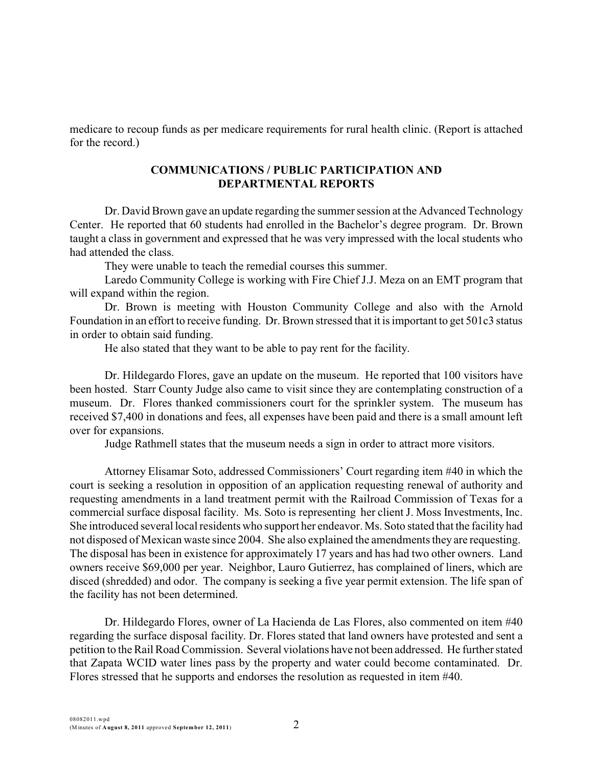medicare to recoup funds as per medicare requirements for rural health clinic. (Report is attached for the record.)

### **COMMUNICATIONS / PUBLIC PARTICIPATION AND DEPARTMENTAL REPORTS**

Dr. David Brown gave an update regarding the summer session at the Advanced Technology Center. He reported that 60 students had enrolled in the Bachelor's degree program. Dr. Brown taught a class in government and expressed that he was very impressed with the local students who had attended the class.

They were unable to teach the remedial courses this summer.

Laredo Community College is working with Fire Chief J.J. Meza on an EMT program that will expand within the region.

Dr. Brown is meeting with Houston Community College and also with the Arnold Foundation in an effort to receive funding. Dr. Brown stressed that it is important to get 501c3 status in order to obtain said funding.

He also stated that they want to be able to pay rent for the facility.

Dr. Hildegardo Flores, gave an update on the museum. He reported that 100 visitors have been hosted. Starr County Judge also came to visit since they are contemplating construction of a museum. Dr. Flores thanked commissioners court for the sprinkler system. The museum has received \$7,400 in donations and fees, all expenses have been paid and there is a small amount left over for expansions.

Judge Rathmell states that the museum needs a sign in order to attract more visitors.

Attorney Elisamar Soto, addressed Commissioners' Court regarding item #40 in which the court is seeking a resolution in opposition of an application requesting renewal of authority and requesting amendments in a land treatment permit with the Railroad Commission of Texas for a commercial surface disposal facility. Ms. Soto is representing her client J. Moss Investments, Inc. She introduced several local residents who support her endeavor. Ms. Soto stated that the facility had not disposed of Mexican waste since 2004. She also explained the amendments they are requesting. The disposal has been in existence for approximately 17 years and has had two other owners. Land owners receive \$69,000 per year. Neighbor, Lauro Gutierrez, has complained of liners, which are disced (shredded) and odor. The company is seeking a five year permit extension. The life span of the facility has not been determined.

Dr. Hildegardo Flores, owner of La Hacienda de Las Flores, also commented on item #40 regarding the surface disposal facility. Dr. Flores stated that land owners have protested and sent a petition to the Rail Road Commission. Several violations have not been addressed. He further stated that Zapata WCID water lines pass by the property and water could become contaminated. Dr. Flores stressed that he supports and endorses the resolution as requested in item #40.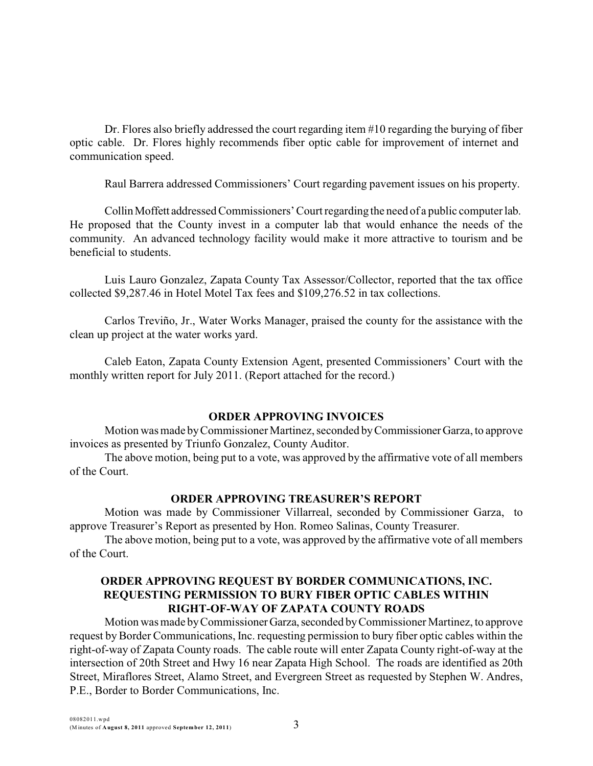Dr. Flores also briefly addressed the court regarding item #10 regarding the burying of fiber optic cable. Dr. Flores highly recommends fiber optic cable for improvement of internet and communication speed.

Raul Barrera addressed Commissioners' Court regarding pavement issues on his property.

CollinMoffett addressed Commissioners' Court regarding the need of a public computer lab. He proposed that the County invest in a computer lab that would enhance the needs of the community. An advanced technology facility would make it more attractive to tourism and be beneficial to students.

Luis Lauro Gonzalez, Zapata County Tax Assessor/Collector, reported that the tax office collected \$9,287.46 in Hotel Motel Tax fees and \$109,276.52 in tax collections.

 Carlos Treviño, Jr., Water Works Manager, praised the county for the assistance with the clean up project at the water works yard.

Caleb Eaton, Zapata County Extension Agent, presented Commissioners' Court with the monthly written report for July 2011. (Report attached for the record.)

## **ORDER APPROVING INVOICES**

Motion was made byCommissioner Martinez, seconded byCommissionerGarza, to approve invoices as presented by Triunfo Gonzalez, County Auditor.

The above motion, being put to a vote, was approved by the affirmative vote of all members of the Court.

## **ORDER APPROVING TREASURER'S REPORT**

Motion was made by Commissioner Villarreal, seconded by Commissioner Garza, to approve Treasurer's Report as presented by Hon. Romeo Salinas, County Treasurer.

The above motion, being put to a vote, was approved by the affirmative vote of all members of the Court.

### **ORDER APPROVING REQUEST BY BORDER COMMUNICATIONS, INC. REQUESTING PERMISSION TO BURY FIBER OPTIC CABLES WITHIN RIGHT-OF-WAY OF ZAPATA COUNTY ROADS**

Motion was made byCommissionerGarza,seconded byCommissioner Martinez, to approve request by Border Communications, Inc. requesting permission to bury fiber optic cables within the right-of-way of Zapata County roads. The cable route will enter Zapata County right-of-way at the intersection of 20th Street and Hwy 16 near Zapata High School. The roads are identified as 20th Street, Miraflores Street, Alamo Street, and Evergreen Street as requested by Stephen W. Andres, P.E., Border to Border Communications, Inc.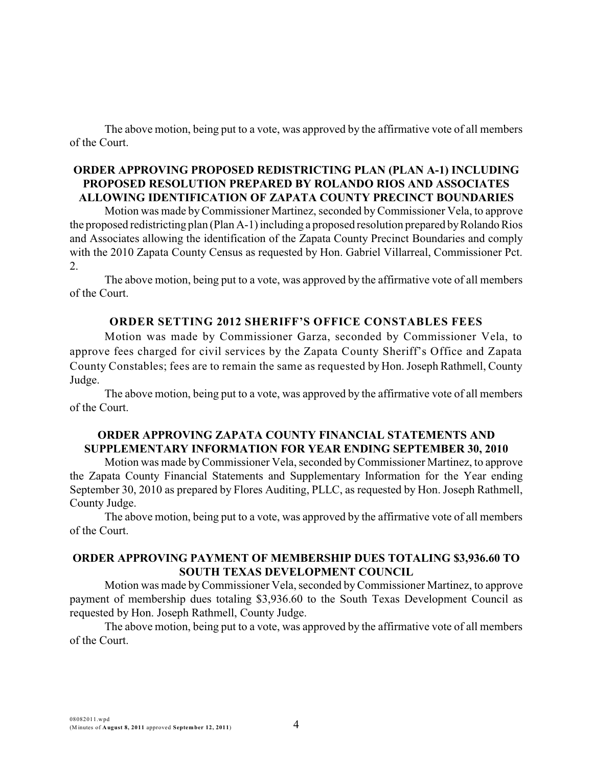The above motion, being put to a vote, was approved by the affirmative vote of all members of the Court.

### **ORDER APPROVING PROPOSED REDISTRICTING PLAN (PLAN A-1) INCLUDING PROPOSED RESOLUTION PREPARED BY ROLANDO RIOS AND ASSOCIATES ALLOWING IDENTIFICATION OF ZAPATA COUNTY PRECINCT BOUNDARIES**

Motion was made byCommissioner Martinez, seconded byCommissioner Vela, to approve the proposed redistricting plan (Plan A-1) including a proposed resolution prepared byRolando Rios and Associates allowing the identification of the Zapata County Precinct Boundaries and comply with the 2010 Zapata County Census as requested by Hon. Gabriel Villarreal, Commissioner Pct. 2.

The above motion, being put to a vote, was approved by the affirmative vote of all members of the Court.

# **ORDER SETTING 2012 SHERIFF'S OFFICE CONSTABLES FEES**

Motion was made by Commissioner Garza, seconded by Commissioner Vela, to approve fees charged for civil services by the Zapata County Sheriff's Office and Zapata County Constables; fees are to remain the same as requested by Hon. Joseph Rathmell, County Judge.

The above motion, being put to a vote, was approved by the affirmative vote of all members of the Court.

## **ORDER APPROVING ZAPATA COUNTY FINANCIAL STATEMENTS AND SUPPLEMENTARY INFORMATION FOR YEAR ENDING SEPTEMBER 30, 2010**

Motion was made byCommissioner Vela, seconded byCommissioner Martinez, to approve the Zapata County Financial Statements and Supplementary Information for the Year ending September 30, 2010 as prepared by Flores Auditing, PLLC, as requested by Hon. Joseph Rathmell, County Judge.

The above motion, being put to a vote, was approved by the affirmative vote of all members of the Court.

## **ORDER APPROVING PAYMENT OF MEMBERSHIP DUES TOTALING \$3,936.60 TO SOUTH TEXAS DEVELOPMENT COUNCIL**

Motion was made byCommissioner Vela, seconded byCommissioner Martinez, to approve payment of membership dues totaling \$3,936.60 to the South Texas Development Council as requested by Hon. Joseph Rathmell, County Judge.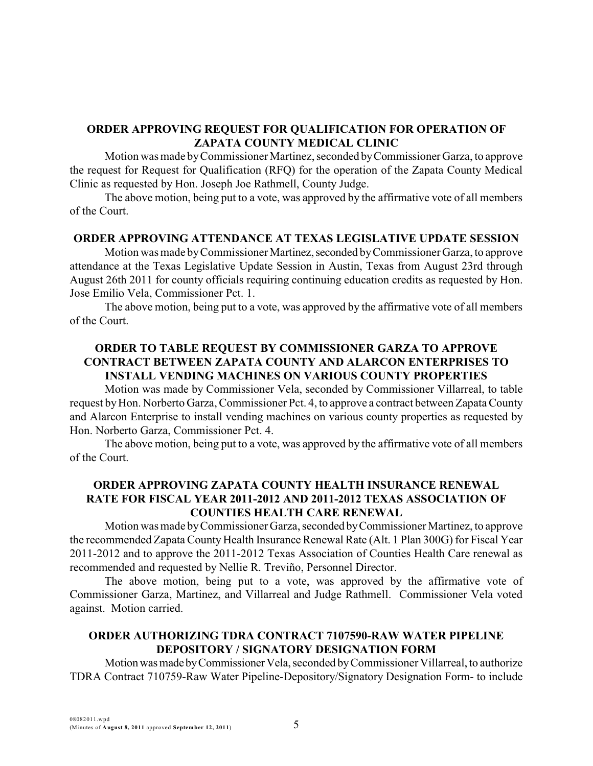# **ORDER APPROVING REQUEST FOR QUALIFICATION FOR OPERATION OF ZAPATA COUNTY MEDICAL CLINIC**

Motion was made byCommissioner Martinez, seconded byCommissioner Garza, to approve the request for Request for Qualification (RFQ) for the operation of the Zapata County Medical Clinic as requested by Hon. Joseph Joe Rathmell, County Judge.

The above motion, being put to a vote, was approved by the affirmative vote of all members of the Court.

### **ORDER APPROVING ATTENDANCE AT TEXAS LEGISLATIVE UPDATE SESSION**

Motion was made by Commissioner Martinez, seconded by Commissioner Garza, to approve attendance at the Texas Legislative Update Session in Austin, Texas from August 23rd through August 26th 2011 for county officials requiring continuing education credits as requested by Hon. Jose Emilio Vela, Commissioner Pct. 1.

The above motion, being put to a vote, was approved by the affirmative vote of all members of the Court.

### **ORDER TO TABLE REQUEST BY COMMISSIONER GARZA TO APPROVE CONTRACT BETWEEN ZAPATA COUNTY AND ALARCON ENTERPRISES TO INSTALL VENDING MACHINES ON VARIOUS COUNTY PROPERTIES**

Motion was made by Commissioner Vela, seconded by Commissioner Villarreal, to table request by Hon. Norberto Garza, Commissioner Pct. 4, to approve a contract between Zapata County and Alarcon Enterprise to install vending machines on various county properties as requested by Hon. Norberto Garza, Commissioner Pct. 4.

The above motion, being put to a vote, was approved by the affirmative vote of all members of the Court.

## **ORDER APPROVING ZAPATA COUNTY HEALTH INSURANCE RENEWAL RATE FOR FISCAL YEAR 2011-2012 AND 2011-2012 TEXAS ASSOCIATION OF COUNTIES HEALTH CARE RENEWAL**

Motion was made by Commissioner Garza, seconded by Commissioner Martinez, to approve the recommended Zapata County Health Insurance Renewal Rate (Alt. 1 Plan 300G) for Fiscal Year 2011-2012 and to approve the 2011-2012 Texas Association of Counties Health Care renewal as recommended and requested by Nellie R. Treviño, Personnel Director.

The above motion, being put to a vote, was approved by the affirmative vote of Commissioner Garza, Martinez, and Villarreal and Judge Rathmell. Commissioner Vela voted against. Motion carried.

## **ORDER AUTHORIZING TDRA CONTRACT 7107590-RAW WATER PIPELINE DEPOSITORY / SIGNATORY DESIGNATION FORM**

Motionwasmade byCommissionerVela, seconded byCommissioner Villarreal, to authorize TDRA Contract 710759-Raw Water Pipeline-Depository/Signatory Designation Form- to include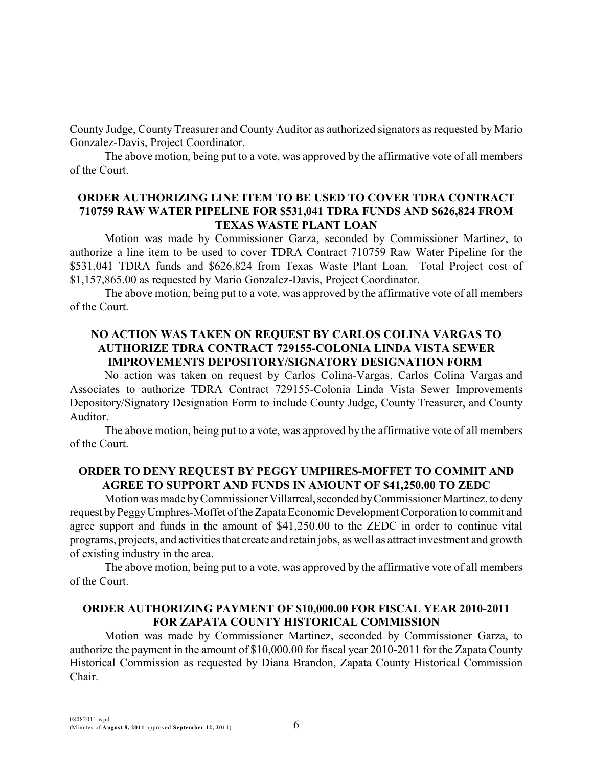County Judge, County Treasurer and County Auditor as authorized signators as requested by Mario Gonzalez-Davis, Project Coordinator.

The above motion, being put to a vote, was approved by the affirmative vote of all members of the Court.

### **ORDER AUTHORIZING LINE ITEM TO BE USED TO COVER TDRA CONTRACT 710759 RAW WATER PIPELINE FOR \$531,041 TDRA FUNDS AND \$626,824 FROM TEXAS WASTE PLANT LOAN**

Motion was made by Commissioner Garza, seconded by Commissioner Martinez, to authorize a line item to be used to cover TDRA Contract 710759 Raw Water Pipeline for the \$531,041 TDRA funds and \$626,824 from Texas Waste Plant Loan. Total Project cost of \$1,157,865.00 as requested by Mario Gonzalez-Davis, Project Coordinator.

The above motion, being put to a vote, was approved by the affirmative vote of all members of the Court.

# **NO ACTION WAS TAKEN ON REQUEST BY CARLOS COLINA VARGAS TO AUTHORIZE TDRA CONTRACT 729155-COLONIA LINDA VISTA SEWER IMPROVEMENTS DEPOSITORY/SIGNATORY DESIGNATION FORM**

No action was taken on request by Carlos Colina-Vargas, Carlos Colina Vargas and Associates to authorize TDRA Contract 729155-Colonia Linda Vista Sewer Improvements Depository/Signatory Designation Form to include County Judge, County Treasurer, and County Auditor.

The above motion, being put to a vote, was approved by the affirmative vote of all members of the Court.

### **ORDER TO DENY REQUEST BY PEGGY UMPHRES-MOFFET TO COMMIT AND AGREE TO SUPPORT AND FUNDS IN AMOUNT OF \$41,250.00 TO ZEDC**

Motion was made by Commissioner Villarreal, seconded by Commissioner Martinez, to deny request by Peggy Umphres-Moffet of the Zapata Economic Development Corporation to commit and agree support and funds in the amount of \$41,250.00 to the ZEDC in order to continue vital programs, projects, and activities that create and retain jobs, as well as attract investment and growth of existing industry in the area.

The above motion, being put to a vote, was approved by the affirmative vote of all members of the Court.

### **ORDER AUTHORIZING PAYMENT OF \$10,000.00 FOR FISCAL YEAR 2010-2011 FOR ZAPATA COUNTY HISTORICAL COMMISSION**

Motion was made by Commissioner Martinez, seconded by Commissioner Garza, to authorize the payment in the amount of \$10,000.00 for fiscal year 2010-2011 for the Zapata County Historical Commission as requested by Diana Brandon, Zapata County Historical Commission Chair.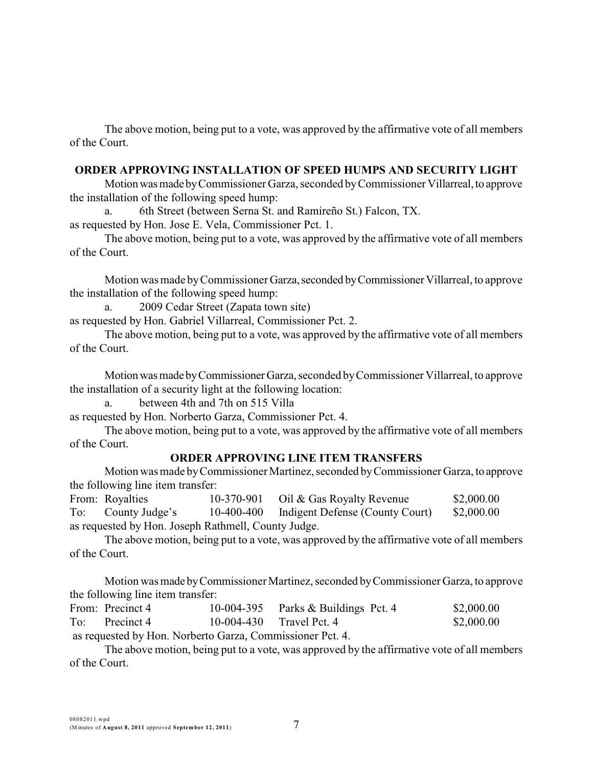The above motion, being put to a vote, was approved by the affirmative vote of all members of the Court.

# **ORDER APPROVING INSTALLATION OF SPEED HUMPS AND SECURITY LIGHT**

Motion was made by Commissioner Garza, seconded by Commissioner Villarreal, to approve the installation of the following speed hump:

a. 6th Street (between Serna St. and Ramireño St.) Falcon, TX.

as requested by Hon. Jose E. Vela, Commissioner Pct. 1.

The above motion, being put to a vote, was approved by the affirmative vote of all members of the Court.

Motion was made by Commissioner Garza, seconded by Commissioner Villarreal, to approve the installation of the following speed hump:

a. 2009 Cedar Street (Zapata town site)

as requested by Hon. Gabriel Villarreal, Commissioner Pct. 2.

The above motion, being put to a vote, was approved by the affirmative vote of all members of the Court.

Motion was made by Commissioner Garza, seconded by Commissioner Villarreal, to approve the installation of a security light at the following location:

between 4th and 7th on 515 Villa

as requested by Hon. Norberto Garza, Commissioner Pct. 4.

The above motion, being put to a vote, was approved by the affirmative vote of all members of the Court.

# **ORDER APPROVING LINE ITEM TRANSFERS**

Motion was made byCommissioner Martinez, seconded byCommissioner Garza, to approve the following line item transfer:

From: Royalties 10-370-901 Oil & Gas Royalty Revenue \$2,000.00 To: County Judge's 10-400-400 Indigent Defense (County Court) \$2,000.00 as requested by Hon. Joseph Rathmell, County Judge.

The above motion, being put to a vote, was approved by the affirmative vote of all members of the Court.

Motion was made byCommissioner Martinez, seconded byCommissioner Garza, to approve the following line item transfer:

| From: Precinct 4                                          |                            | 10-004-395 Parks $&$ Buildings Pct. 4 | \$2,000.00 |
|-----------------------------------------------------------|----------------------------|---------------------------------------|------------|
| To: Precinct 4                                            | $10-004-430$ Travel Pct. 4 |                                       | \$2,000.00 |
| as requested by Hon. Norberto Garza, Commissioner Pct. 4. |                            |                                       |            |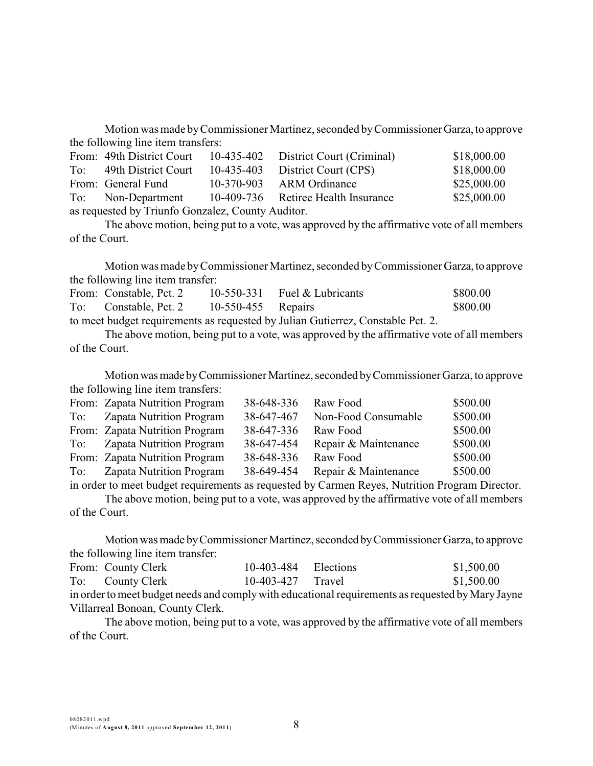Motion was made byCommissioner Martinez, seconded byCommissionerGarza, to approve the following line item transfers:

|                                                   | From: 49th District Court |  | 10-435-402 District Court (Criminal) | \$18,000.00 |  |  |  |
|---------------------------------------------------|---------------------------|--|--------------------------------------|-------------|--|--|--|
|                                                   | To: 49th District Court   |  | 10-435-403 District Court (CPS)      | \$18,000.00 |  |  |  |
|                                                   | From: General Fund        |  | 10-370-903 ARM Ordinance             | \$25,000.00 |  |  |  |
|                                                   | To: Non-Department        |  | 10-409-736 Retiree Health Insurance  | \$25,000.00 |  |  |  |
| as requested by Triunfo Gonzalez, County Auditor. |                           |  |                                      |             |  |  |  |

The above motion, being put to a vote, was approved by the affirmative vote of all members of the Court.

Motion was made byCommissioner Martinez, seconded byCommissioner Garza, to approve the following line item transfer:

| From: Constable, Pct. 2 |                      | 10-550-331 Fuel $&$ Lubricants                                                  | \$800.00 |
|-------------------------|----------------------|---------------------------------------------------------------------------------|----------|
| To: Constable, Pct. 2   | $10-550-455$ Repairs |                                                                                 | \$800.00 |
|                         |                      | to meet budget requirements as requested by Julian Gutierrez, Constable Pct. 2. |          |

The above motion, being put to a vote, was approved by the affirmative vote of all members of the Court.

Motion was made by Commissioner Martinez, seconded by Commissioner Garza, to approve the following line item transfers:

|     | From: Zapata Nutrition Program  | 38-648-336 | Raw Food             | \$500.00 |
|-----|---------------------------------|------------|----------------------|----------|
| To: | <b>Zapata Nutrition Program</b> | 38-647-467 | Non-Food Consumable  | \$500.00 |
|     | From: Zapata Nutrition Program  | 38-647-336 | Raw Food             | \$500.00 |
|     | To: Zapata Nutrition Program    | 38-647-454 | Repair & Maintenance | \$500.00 |
|     | From: Zapata Nutrition Program  | 38-648-336 | Raw Food             | \$500.00 |
| To: | <b>Zapata Nutrition Program</b> | 38-649-454 | Repair & Maintenance | \$500.00 |
|     |                                 |            |                      |          |

in order to meet budget requirements as requested by Carmen Reyes, Nutrition Program Director. The above motion, being put to a vote, was approved by the affirmative vote of all members

of the Court.

Motionwas made byCommissioner Martinez, seconded byCommissioner Garza, to approve the following line item transfer:

|                                                                                                   | From: County Clerk | 10-403-484 Elections |  | \$1,500.00 |  |  |  |
|---------------------------------------------------------------------------------------------------|--------------------|----------------------|--|------------|--|--|--|
|                                                                                                   | To: County Clerk   | $10-403-427$ Travel  |  | \$1,500.00 |  |  |  |
| in order to meet budget needs and comply with educational requirements as requested by Mary Jayne |                    |                      |  |            |  |  |  |
| Villarreal Bonoan, County Clerk.                                                                  |                    |                      |  |            |  |  |  |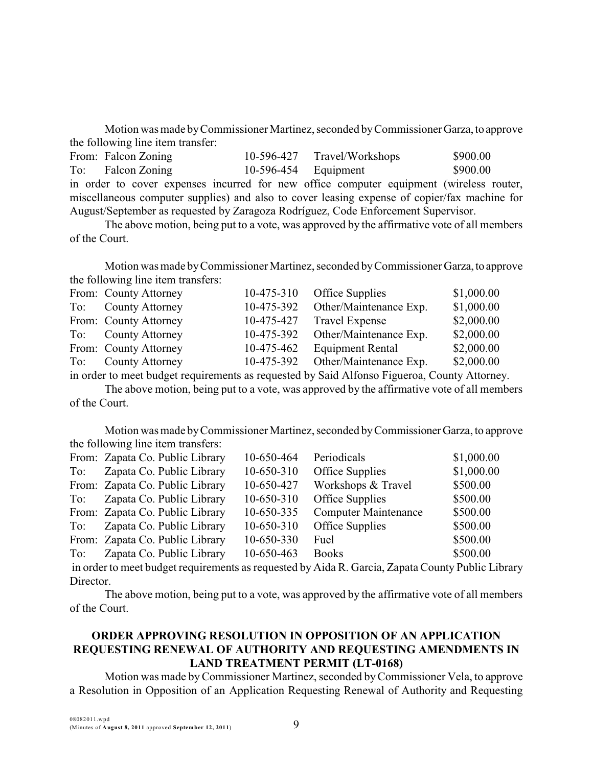Motion was made byCommissioner Martinez, seconded byCommissionerGarza, to approve the following line item transfer:

|                                                                                   | From: Falcon Zoning                                                                          |  |  |  |  |                      | 10-596-427 Travel/Workshops | \$900.00 |  |
|-----------------------------------------------------------------------------------|----------------------------------------------------------------------------------------------|--|--|--|--|----------------------|-----------------------------|----------|--|
|                                                                                   | To: Falcon Zoning                                                                            |  |  |  |  | 10-596-454 Equipment |                             | \$900.00 |  |
|                                                                                   | in order to cover expenses incurred for new office computer equipment (wireless router,      |  |  |  |  |                      |                             |          |  |
|                                                                                   | miscellaneous computer supplies) and also to cover leasing expense of copier/fax machine for |  |  |  |  |                      |                             |          |  |
| August/September as requested by Zaragoza Rodríguez, Code Enforcement Supervisor. |                                                                                              |  |  |  |  |                      |                             |          |  |

The above motion, being put to a vote, was approved by the affirmative vote of all members of the Court.

Motion was made byCommissioner Martinez, seconded byCommissioner Garza, to approve the following line item transfers:

| \$1,000.00 |
|------------|
| \$1,000.00 |
| \$2,000.00 |
| \$2,000.00 |
| \$2,000.00 |
| \$2,000.00 |
|            |

in order to meet budget requirements as requested by Said Alfonso Figueroa, County Attorney.

The above motion, being put to a vote, was approved by the affirmative vote of all members of the Court.

Motion was made byCommissioner Martinez, seconded byCommissionerGarza, to approve the following line item transfers:

|     | From: Zapata Co. Public Library                                                                       | 10-650-464 | Periodicals                 | \$1,000.00 |
|-----|-------------------------------------------------------------------------------------------------------|------------|-----------------------------|------------|
| To: | Zapata Co. Public Library                                                                             | 10-650-310 | Office Supplies             | \$1,000.00 |
|     | From: Zapata Co. Public Library                                                                       | 10-650-427 | Workshops & Travel          | \$500.00   |
| To: | Zapata Co. Public Library                                                                             | 10-650-310 | Office Supplies             | \$500.00   |
|     | From: Zapata Co. Public Library                                                                       | 10-650-335 | <b>Computer Maintenance</b> | \$500.00   |
| To: | Zapata Co. Public Library                                                                             | 10-650-310 | Office Supplies             | \$500.00   |
|     | From: Zapata Co. Public Library                                                                       | 10-650-330 | Fuel                        | \$500.00   |
| To: | Zapata Co. Public Library                                                                             | 10-650-463 | <b>Books</b>                | \$500.00   |
|     | in order to meet budget requirements as requested by $\Delta ida R$ Garcia. Zanata County Public Libr |            |                             |            |

in orderto meet budget requirements as requested by Aida R. Garcia, Zapata County Public Library Director.

The above motion, being put to a vote, was approved by the affirmative vote of all members of the Court.

# **ORDER APPROVING RESOLUTION IN OPPOSITION OF AN APPLICATION REQUESTING RENEWAL OF AUTHORITY AND REQUESTING AMENDMENTS IN LAND TREATMENT PERMIT (LT-0168)**

Motion was made byCommissioner Martinez, seconded byCommissioner Vela, to approve a Resolution in Opposition of an Application Requesting Renewal of Authority and Requesting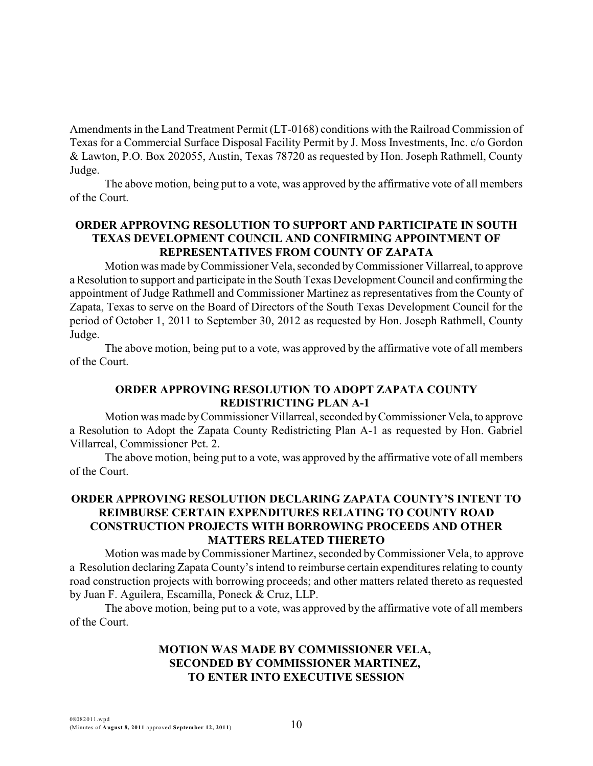Amendments in the Land Treatment Permit (LT-0168) conditions with the Railroad Commission of Texas for a Commercial Surface Disposal Facility Permit by J. Moss Investments, Inc. c/o Gordon & Lawton, P.O. Box 202055, Austin, Texas 78720 as requested by Hon. Joseph Rathmell, County Judge.

The above motion, being put to a vote, was approved by the affirmative vote of all members of the Court.

## **ORDER APPROVING RESOLUTION TO SUPPORT AND PARTICIPATE IN SOUTH TEXAS DEVELOPMENT COUNCIL AND CONFIRMING APPOINTMENT OF REPRESENTATIVES FROM COUNTY OF ZAPATA**

Motion was made byCommissioner Vela, seconded byCommissioner Villarreal, to approve a Resolution to support and participate in the South Texas Development Council and confirming the appointment of Judge Rathmell and Commissioner Martinez as representatives from the County of Zapata, Texas to serve on the Board of Directors of the South Texas Development Council for the period of October 1, 2011 to September 30, 2012 as requested by Hon. Joseph Rathmell, County Judge.

The above motion, being put to a vote, was approved by the affirmative vote of all members of the Court.

## **ORDER APPROVING RESOLUTION TO ADOPT ZAPATA COUNTY REDISTRICTING PLAN A-1**

Motion was made byCommissioner Villarreal, seconded byCommissioner Vela, to approve a Resolution to Adopt the Zapata County Redistricting Plan A-1 as requested by Hon. Gabriel Villarreal, Commissioner Pct. 2.

The above motion, being put to a vote, was approved by the affirmative vote of all members of the Court.

# **ORDER APPROVING RESOLUTION DECLARING ZAPATA COUNTY'S INTENT TO REIMBURSE CERTAIN EXPENDITURES RELATING TO COUNTY ROAD CONSTRUCTION PROJECTS WITH BORROWING PROCEEDS AND OTHER MATTERS RELATED THERETO**

Motion was made byCommissioner Martinez, seconded byCommissioner Vela, to approve a Resolution declaring Zapata County's intend to reimburse certain expenditures relating to county road construction projects with borrowing proceeds; and other matters related thereto as requested by Juan F. Aguilera, Escamilla, Poneck & Cruz, LLP.

The above motion, being put to a vote, was approved by the affirmative vote of all members of the Court.

# **MOTION WAS MADE BY COMMISSIONER VELA, SECONDED BY COMMISSIONER MARTINEZ, TO ENTER INTO EXECUTIVE SESSION**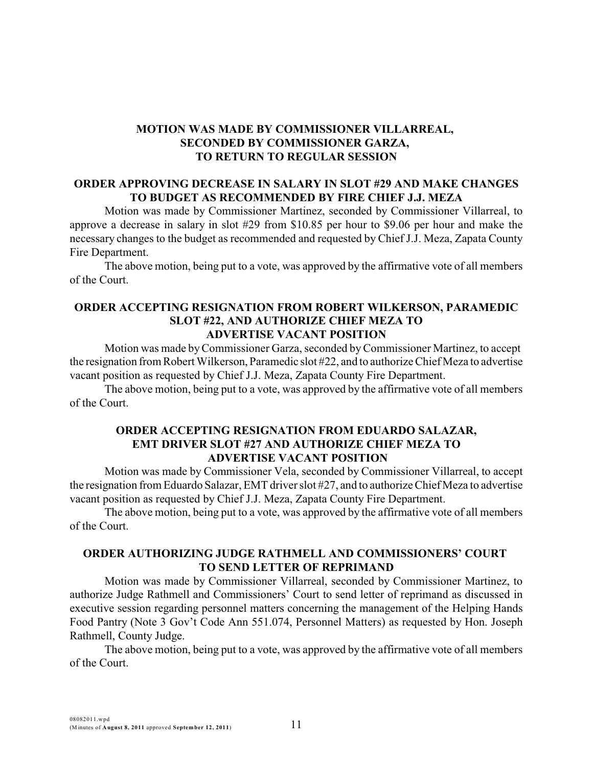# **MOTION WAS MADE BY COMMISSIONER VILLARREAL, SECONDED BY COMMISSIONER GARZA, TO RETURN TO REGULAR SESSION**

#### **ORDER APPROVING DECREASE IN SALARY IN SLOT #29 AND MAKE CHANGES TO BUDGET AS RECOMMENDED BY FIRE CHIEF J.J. MEZA**

Motion was made by Commissioner Martinez, seconded by Commissioner Villarreal, to approve a decrease in salary in slot #29 from \$10.85 per hour to \$9.06 per hour and make the necessary changes to the budget as recommended and requested by Chief J.J. Meza, Zapata County Fire Department.

The above motion, being put to a vote, was approved by the affirmative vote of all members of the Court.

#### **ORDER ACCEPTING RESIGNATION FROM ROBERT WILKERSON, PARAMEDIC SLOT #22, AND AUTHORIZE CHIEF MEZA TO ADVERTISE VACANT POSITION**

Motion was made byCommissioner Garza, seconded byCommissioner Martinez, to accept the resignation from Robert Wilkerson, Paramedic slot #22, and to authorize Chief Meza to advertise vacant position as requested by Chief J.J. Meza, Zapata County Fire Department.

The above motion, being put to a vote, was approved by the affirmative vote of all members of the Court.

### **ORDER ACCEPTING RESIGNATION FROM EDUARDO SALAZAR, EMT DRIVER SLOT #27 AND AUTHORIZE CHIEF MEZA TO ADVERTISE VACANT POSITION**

Motion was made by Commissioner Vela, seconded by Commissioner Villarreal, to accept the resignation from Eduardo Salazar, EMT driver slot #27, and to authorize Chief Meza to advertise vacant position as requested by Chief J.J. Meza, Zapata County Fire Department.

The above motion, being put to a vote, was approved by the affirmative vote of all members of the Court.

# **ORDER AUTHORIZING JUDGE RATHMELL AND COMMISSIONERS' COURT TO SEND LETTER OF REPRIMAND**

Motion was made by Commissioner Villarreal, seconded by Commissioner Martinez, to authorize Judge Rathmell and Commissioners' Court to send letter of reprimand as discussed in executive session regarding personnel matters concerning the management of the Helping Hands Food Pantry (Note 3 Gov't Code Ann 551.074, Personnel Matters) as requested by Hon. Joseph Rathmell, County Judge.